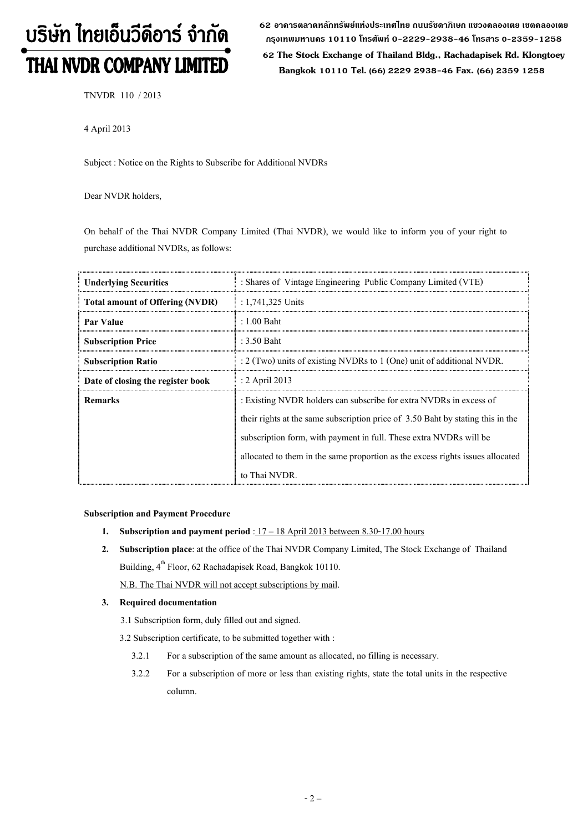# บริษัท ไทยเอ็นวีดีอาร์ จำกัด THAI NVDR COMPANY LIMITED

62 อาดารตลาดหลักทรัพย์แห่งประเทศไทย ถนนรัชดาภิเษก แขวงดลองเตย เขตดลองเตย กรุงเทพมหานดร 10110 โทรศัพท์ 0-2229-2938-46 โทรสาร 0-2359-1258

 62 The Stock Exchange of Thailand Bldg., Rachadapisek Rd. Klongtoey Bangkok 10110 Tel. (66) 2229 2938-46 Fax. (66) 2359 1258

TNVDR 110 / 2013

4 April 2013

Subject : Notice on the Rights to Subscribe for Additional NVDRs

Dear NVDR holders,

On behalf of the Thai NVDR Company Limited (Thai NVDR), we would like to inform you of your right to purchase additional NVDRs, as follows:

| <b>Underlying Securities</b>           | : Shares of Vintage Engineering Public Company Limited (VTE)                    |  |
|----------------------------------------|---------------------------------------------------------------------------------|--|
| <b>Total amount of Offering (NVDR)</b> | : 1,741,325 Units                                                               |  |
| Par Value                              | $: 1.00$ Baht                                                                   |  |
| <b>Subscription Price</b>              | : 3.50 Baht                                                                     |  |
| <b>Subscription Ratio</b>              | : 2 (Two) units of existing NVDRs to 1 (One) unit of additional NVDR.           |  |
| Date of closing the register book      | : 2 April 2013                                                                  |  |
| <b>Remarks</b>                         | : Existing NVDR holders can subscribe for extra NVDRs in excess of              |  |
|                                        | their rights at the same subscription price of 3.50 Baht by stating this in the |  |
|                                        | subscription form, with payment in full. These extra NVDRs will be              |  |
|                                        | allocated to them in the same proportion as the excess rights issues allocated  |  |
|                                        | to Thai NVDR.                                                                   |  |

#### Subscription and Payment Procedure

- 1. Subscription and payment period :  $17 18$  April 2013 between 8.30-17.00 hours
- 2. Subscription place: at the office of the Thai NVDR Company Limited, The Stock Exchange of Thailand Building, 4<sup>th</sup> Floor, 62 Rachadapisek Road, Bangkok 10110.

N.B. The Thai NVDR will not accept subscriptions by mail.

#### 3. Required documentation

3.1 Subscription form, duly filled out and signed.

3.2 Subscription certificate, to be submitted together with :

- 3.2.1 For a subscription of the same amount as allocated, no filling is necessary.
- 3.2.2 For a subscription of more or less than existing rights, state the total units in the respective column.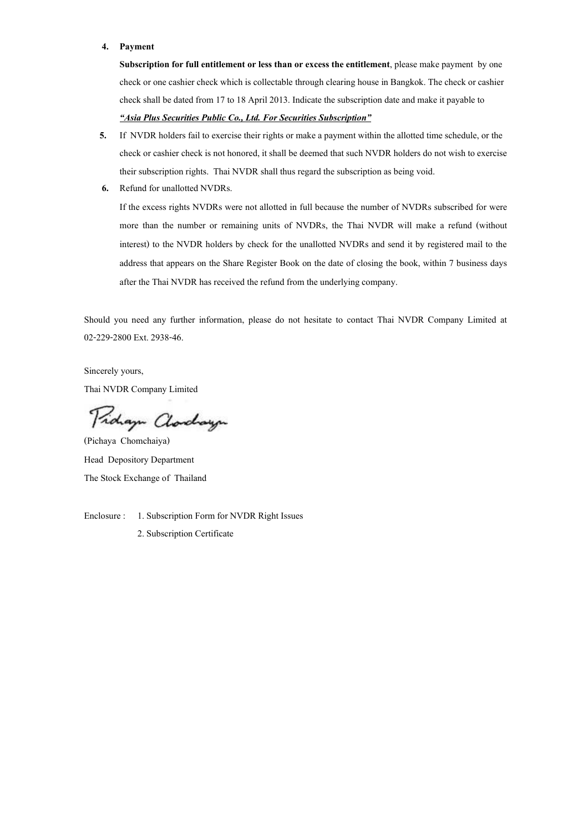#### 4. Payment

Subscription for full entitlement or less than or excess the entitlement, please make payment by one check or one cashier check which is collectable through clearing house in Bangkok. The check or cashier check shall be dated from 17 to 18 April 2013. Indicate the subscription date and make it payable to "Asia Plus Securities Public Co., Ltd. For Securities Subscription"

- 5. If NVDR holders fail to exercise their rights or make a payment within the allotted time schedule, or the check or cashier check is not honored, it shall be deemed that such NVDR holders do not wish to exercise their subscription rights. Thai NVDR shall thus regard the subscription as being void.
- 6. Refund for unallotted NVDRs.

If the excess rights NVDRs were not allotted in full because the number of NVDRs subscribed for were more than the number or remaining units of NVDRs, the Thai NVDR will make a refund (without interest) to the NVDR holders by check for the unallotted NVDRs and send it by registered mail to the address that appears on the Share Register Book on the date of closing the book, within 7 business days after the Thai NVDR has received the refund from the underlying company.

Should you need any further information, please do not hesitate to contact Thai NVDR Company Limited at 02-229-2800 Ext. 2938-46.

Sincerely yours, Thai NVDR Company Limited

Proham Charchauge

(Pichaya Chomchaiya) Head Depository Department The Stock Exchange of Thailand

Enclosure : 1. Subscription Form for NVDR Right Issues 2. Subscription Certificate